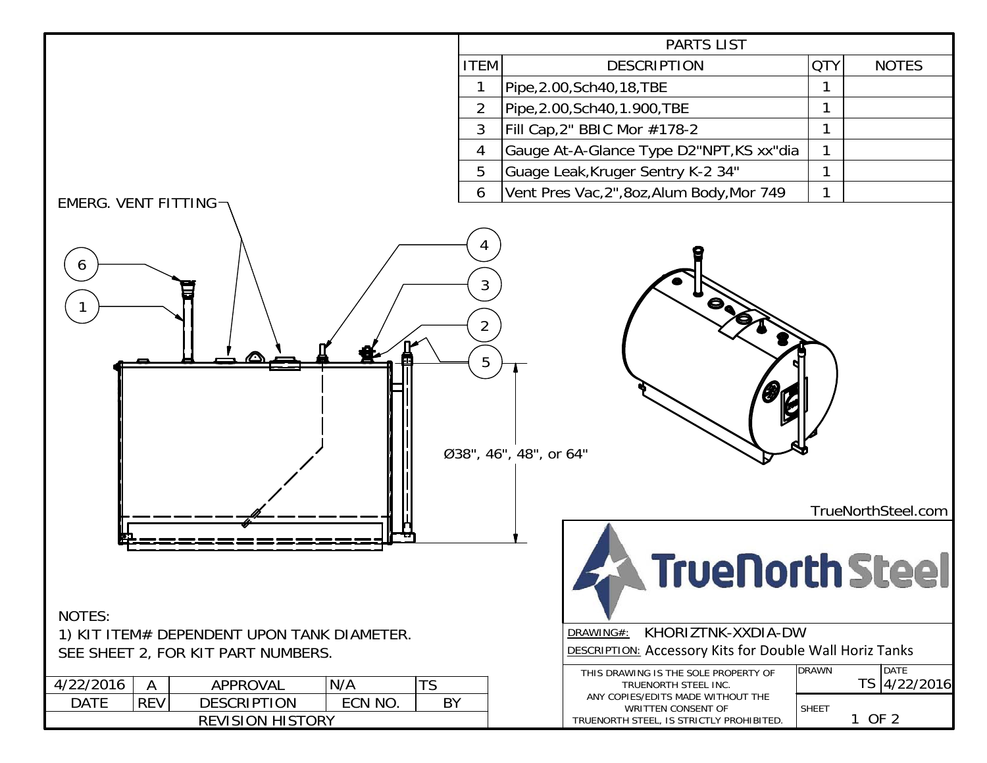